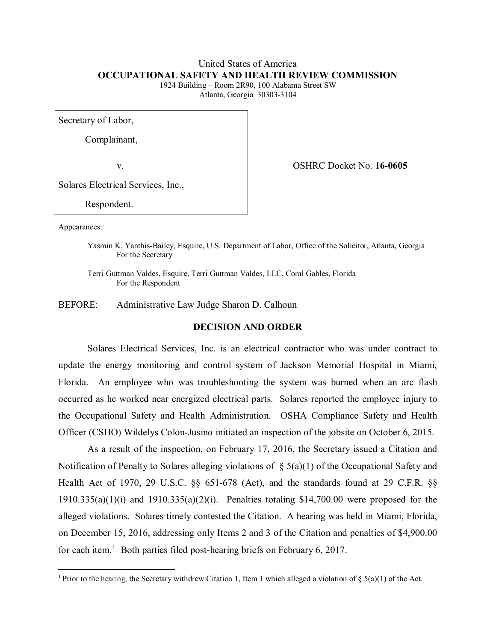### United States of America **OCCUPATIONAL SAFETY AND HEALTH REVIEW COMMISSION**

1924 Building – Room 2R90, 100 Alabama Street SW Atlanta, Georgia 30303-3104

Secretary of Labor,

Complainant,

v. OSHRC Docket No. **16-0605**

Solares Electrical Services, Inc.,

Respondent.

Appearances:

 $\overline{a}$ 

Yasmin K. Yanthis-Bailey, Esquire, U.S. Department of Labor, Office of the Solicitor, Atlanta, Georgia For the Secretary

Terri Guttman Valdes, Esquire, Terri Guttman Valdes, LLC, Coral Gables, Florida For the Respondent

BEFORE: Administrative Law Judge Sharon D. Calhoun

# **DECISION AND ORDER**

Solares Electrical Services, Inc. is an electrical contractor who was under contract to update the energy monitoring and control system of Jackson Memorial Hospital in Miami, Florida. An employee who was troubleshooting the system was burned when an arc flash occurred as he worked near energized electrical parts. Solares reported the employee injury to the Occupational Safety and Health Administration. OSHA Compliance Safety and Health Officer (CSHO) Wildelys Colon-Jusino initiated an inspection of the jobsite on October 6, 2015.

As a result of the inspection, on February 17, 2016, the Secretary issued a Citation and Notification of Penalty to Solares alleging violations of  $\S(5(a)(1))$  of the Occupational Safety and Health Act of 1970, 29 U.S.C. §§ 651-678 (Act), and the standards found at 29 C.F.R. §§  $1910.335(a)(1)(i)$  and  $1910.335(a)(2)(i)$ . Penalties totaling \$14,700.00 were proposed for the alleged violations. Solares timely contested the Citation. A hearing was held in Miami, Florida, on December 15, 2016, addressing only Items 2 and 3 of the Citation and penalties of \$4,900.00 for each item.<sup>[1](#page-0-0)</sup> Both parties filed post-hearing briefs on February 6, 2017.

<span id="page-0-0"></span><sup>&</sup>lt;sup>1</sup> Prior to the hearing, the Secretary withdrew Citation 1, Item 1 which alleged a violation of  $\S$  5(a)(1) of the Act.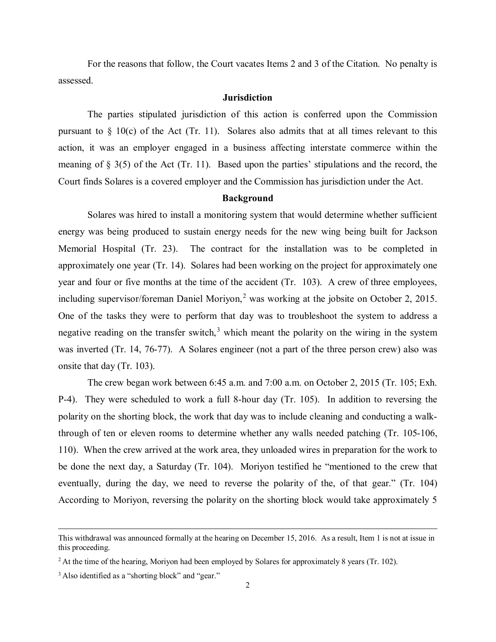For the reasons that follow, the Court vacates Items 2 and 3 of the Citation. No penalty is assessed.

#### **Jurisdiction**

The parties stipulated jurisdiction of this action is conferred upon the Commission pursuant to  $\S$  10(c) of the Act (Tr. 11). Solares also admits that at all times relevant to this action, it was an employer engaged in a business affecting interstate commerce within the meaning of § 3(5) of the Act (Tr. 11). Based upon the parties' stipulations and the record, the Court finds Solares is a covered employer and the Commission has jurisdiction under the Act.

#### **Background**

Solares was hired to install a monitoring system that would determine whether sufficient energy was being produced to sustain energy needs for the new wing being built for Jackson Memorial Hospital (Tr. 23). The contract for the installation was to be completed in approximately one year (Tr. 14). Solares had been working on the project for approximately one year and four or five months at the time of the accident (Tr. 103). A crew of three employees, including supervisor/foreman Daniel Moriyon,<sup>[2](#page-1-0)</sup> was working at the jobsite on October 2, 2015. One of the tasks they were to perform that day was to troubleshoot the system to address a negative reading on the transfer switch, $3$  which meant the polarity on the wiring in the system was inverted (Tr. 14, 76-77). A Solares engineer (not a part of the three person crew) also was onsite that day (Tr. 103).

The crew began work between 6:45 a.m. and 7:00 a.m. on October 2, 2015 (Tr. 105; Exh. P-4). They were scheduled to work a full 8-hour day (Tr. 105). In addition to reversing the polarity on the shorting block, the work that day was to include cleaning and conducting a walkthrough of ten or eleven rooms to determine whether any walls needed patching (Tr. 105-106, 110). When the crew arrived at the work area, they unloaded wires in preparation for the work to be done the next day, a Saturday (Tr. 104). Moriyon testified he "mentioned to the crew that eventually, during the day, we need to reverse the polarity of the, of that gear." (Tr. 104) According to Moriyon, reversing the polarity on the shorting block would take approximately 5

 $\overline{a}$ 

This withdrawal was announced formally at the hearing on December 15, 2016. As a result, Item 1 is not at issue in this proceeding.

<span id="page-1-0"></span><sup>&</sup>lt;sup>2</sup> At the time of the hearing, Moriyon had been employed by Solares for approximately 8 years (Tr. 102).

<span id="page-1-1"></span><sup>&</sup>lt;sup>3</sup> Also identified as a "shorting block" and "gear."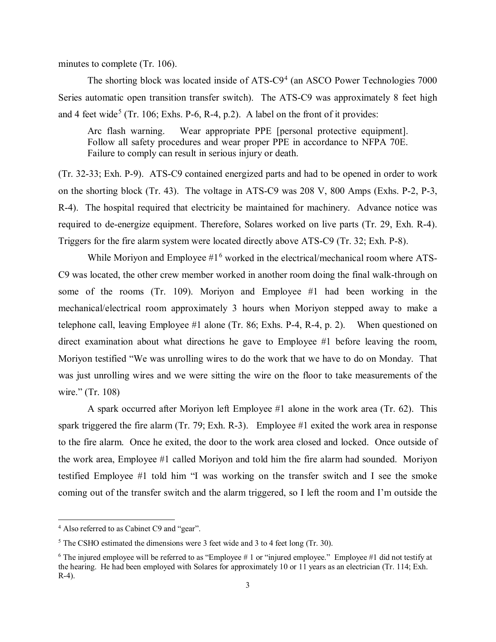minutes to complete (Tr. 106).

The shorting block was located inside of ATS-C9<sup>[4](#page-2-0)</sup> (an ASCO Power Technologies 7000 Series automatic open transition transfer switch). The ATS-C9 was approximately 8 feet high and 4 feet wide<sup>[5](#page-2-1)</sup> (Tr. 106; Exhs. P-6, R-4, p.2). A label on the front of it provides:

Arc flash warning. Wear appropriate PPE [personal protective equipment]. Follow all safety procedures and wear proper PPE in accordance to NFPA 70E. Failure to comply can result in serious injury or death.

(Tr. 32-33; Exh. P-9). ATS-C9 contained energized parts and had to be opened in order to work on the shorting block (Tr. 43). The voltage in ATS-C9 was 208 V, 800 Amps (Exhs. P-2, P-3, R-4). The hospital required that electricity be maintained for machinery. Advance notice was required to de-energize equipment. Therefore, Solares worked on live parts (Tr. 29, Exh. R-4). Triggers for the fire alarm system were located directly above ATS-C9 (Tr. 32; Exh. P-8).

While Moriyon and Employee  $#1<sup>6</sup>$  $#1<sup>6</sup>$  $#1<sup>6</sup>$  worked in the electrical/mechanical room where ATS-C9 was located, the other crew member worked in another room doing the final walk-through on some of the rooms (Tr. 109). Moriyon and Employee #1 had been working in the mechanical/electrical room approximately 3 hours when Moriyon stepped away to make a telephone call, leaving Employee #1 alone (Tr. 86; Exhs. P-4, R-4, p. 2). When questioned on direct examination about what directions he gave to Employee #1 before leaving the room, Moriyon testified "We was unrolling wires to do the work that we have to do on Monday. That was just unrolling wires and we were sitting the wire on the floor to take measurements of the wire." (Tr. 108)

A spark occurred after Moriyon left Employee #1 alone in the work area (Tr. 62). This spark triggered the fire alarm (Tr. 79; Exh. R-3). Employee #1 exited the work area in response to the fire alarm. Once he exited, the door to the work area closed and locked. Once outside of the work area, Employee #1 called Moriyon and told him the fire alarm had sounded. Moriyon testified Employee #1 told him "I was working on the transfer switch and I see the smoke coming out of the transfer switch and the alarm triggered, so I left the room and I'm outside the

 $\overline{a}$ 

<span id="page-2-0"></span><sup>4</sup> Also referred to as Cabinet C9 and "gear".

<span id="page-2-1"></span><sup>5</sup> The CSHO estimated the dimensions were 3 feet wide and 3 to 4 feet long (Tr. 30).

<span id="page-2-2"></span> $6$  The injured employee will be referred to as "Employee # 1 or "injured employee." Employee #1 did not testify at the hearing. He had been employed with Solares for approximately 10 or 11 years as an electrician (Tr. 114; Exh. R-4).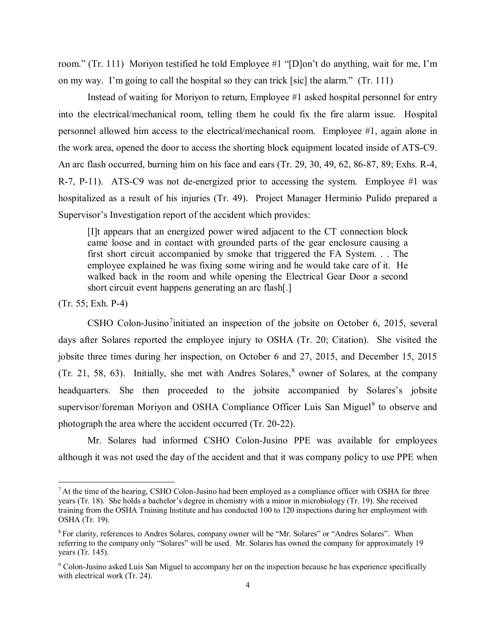room." (Tr. 111) Moriyon testified he told Employee #1 "[D]on't do anything, wait for me, I'm on my way. I'm going to call the hospital so they can trick [sic] the alarm." (Tr. 111)

Instead of waiting for Moriyon to return, Employee #1 asked hospital personnel for entry into the electrical/mechanical room, telling them he could fix the fire alarm issue. Hospital personnel allowed him access to the electrical/mechanical room. Employee #1, again alone in the work area, opened the door to access the shorting block equipment located inside of ATS-C9. An arc flash occurred, burning him on his face and ears (Tr. 29, 30, 49, 62, 86-87, 89; Exhs. R-4, R-7, P-11). ATS-C9 was not de-energized prior to accessing the system. Employee #1 was hospitalized as a result of his injuries (Tr. 49). Project Manager Herminio Pulido prepared a Supervisor's Investigation report of the accident which provides:

[I]t appears that an energized power wired adjacent to the CT connection block came loose and in contact with grounded parts of the gear enclosure causing a first short circuit accompanied by smoke that triggered the FA System. . . The employee explained he was fixing some wiring and he would take care of it. He walked back in the room and while opening the Electrical Gear Door a second short circuit event happens generating an arc flash[.]

(Tr. 55; Exh. P-4)

 $\overline{a}$ 

CSHO Colon-Jusino<sup>[7](#page-3-0)</sup>initiated an inspection of the jobsite on October 6, 2015, several days after Solares reported the employee injury to OSHA (Tr. 20; Citation). She visited the jobsite three times during her inspection, on October 6 and 27, 2015, and December 15, 2015 (Tr. 21, 5[8](#page-3-1), 63). Initially, she met with Andres Solares,  $8$  owner of Solares, at the company headquarters. She then proceeded to the jobsite accompanied by Solares's jobsite supervisor/foreman Moriyon and OSHA Compliance Officer Luis San Miguel<sup>[9](#page-3-2)</sup> to observe and photograph the area where the accident occurred (Tr. 20-22).

Mr. Solares had informed CSHO Colon-Jusino PPE was available for employees although it was not used the day of the accident and that it was company policy to use PPE when

<span id="page-3-0"></span> $7$  At the time of the hearing, CSHO Colon-Jusino had been employed as a compliance officer with OSHA for three years (Tr. 18). She holds a bachelor's degree in chemistry with a minor in microbiology (Tr. 19). She received training from the OSHA Training Institute and has conducted 100 to 120 inspections during her employment with OSHA (Tr. 19).

<span id="page-3-1"></span><sup>&</sup>lt;sup>8</sup> For clarity, references to Andres Solares, company owner will be "Mr. Solares" or "Andres Solares". When referring to the company only "Solares" will be used. Mr. Solares has owned the company for approximately 19 years (Tr. 145).

<span id="page-3-2"></span><sup>&</sup>lt;sup>9</sup> Colon-Jusino asked Luis San Miguel to accompany her on the inspection because he has experience specifically with electrical work (Tr. 24).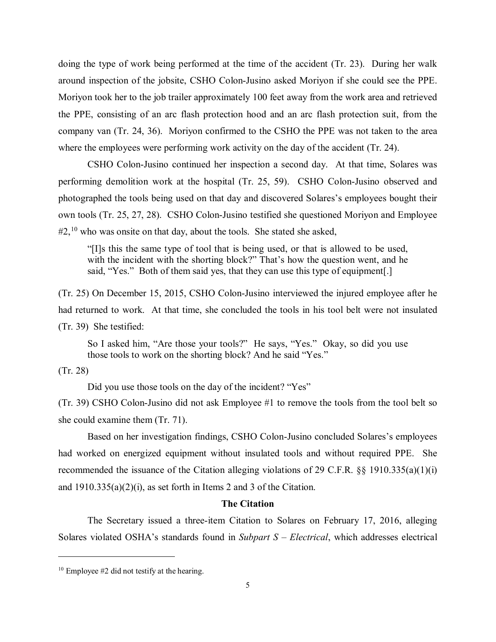doing the type of work being performed at the time of the accident (Tr. 23). During her walk around inspection of the jobsite, CSHO Colon-Jusino asked Moriyon if she could see the PPE. Moriyon took her to the job trailer approximately 100 feet away from the work area and retrieved the PPE, consisting of an arc flash protection hood and an arc flash protection suit, from the company van (Tr. 24, 36). Moriyon confirmed to the CSHO the PPE was not taken to the area where the employees were performing work activity on the day of the accident (Tr. 24).

CSHO Colon-Jusino continued her inspection a second day. At that time, Solares was performing demolition work at the hospital (Tr. 25, 59). CSHO Colon-Jusino observed and photographed the tools being used on that day and discovered Solares's employees bought their own tools (Tr. 25, 27, 28). CSHO Colon-Jusino testified she questioned Moriyon and Employee  $\#2,^{10}$  $\#2,^{10}$  $\#2,^{10}$  who was onsite on that day, about the tools. She stated she asked,

"[I]s this the same type of tool that is being used, or that is allowed to be used, with the incident with the shorting block?" That's how the question went, and he said, "Yes." Both of them said yes, that they can use this type of equipment[.]

(Tr. 25) On December 15, 2015, CSHO Colon-Jusino interviewed the injured employee after he had returned to work. At that time, she concluded the tools in his tool belt were not insulated (Tr. 39) She testified:

So I asked him, "Are those your tools?" He says, "Yes." Okay, so did you use those tools to work on the shorting block? And he said "Yes."

### (Tr. 28)

 $\overline{a}$ 

Did you use those tools on the day of the incident? "Yes"

(Tr. 39) CSHO Colon-Jusino did not ask Employee #1 to remove the tools from the tool belt so she could examine them (Tr. 71).

Based on her investigation findings, CSHO Colon-Jusino concluded Solares's employees had worked on energized equipment without insulated tools and without required PPE. She recommended the issuance of the Citation alleging violations of 29 C.F.R. §§ 1910.335(a)(1)(i) and  $1910.335(a)(2)(i)$ , as set forth in Items 2 and 3 of the Citation.

# **The Citation**

The Secretary issued a three-item Citation to Solares on February 17, 2016, alleging Solares violated OSHA's standards found in *Subpart S – Electrical*, which addresses electrical

<span id="page-4-0"></span> $10$  Employee #2 did not testify at the hearing.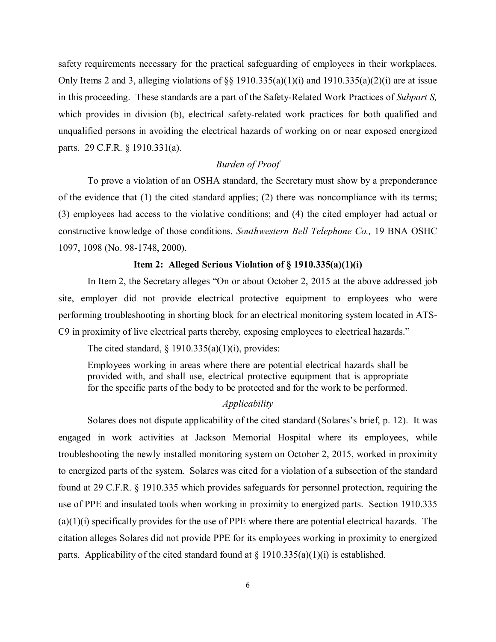safety requirements necessary for the practical safeguarding of employees in their workplaces. Only Items 2 and 3, alleging violations of  $\S$ § 1910.335(a)(1)(i) and 1910.335(a)(2)(i) are at issue in this proceeding. These standards are a part of the Safety-Related Work Practices of *Subpart S,* which provides in division (b), electrical safety-related work practices for both qualified and unqualified persons in avoiding the electrical hazards of working on or near exposed energized parts. 29 C.F.R. § 1910.331(a).

### *Burden of Proof*

To prove a violation of an OSHA standard, the Secretary must show by a preponderance of the evidence that (1) the cited standard applies; (2) there was noncompliance with its terms; (3) employees had access to the violative conditions; and (4) the cited employer had actual or constructive knowledge of those conditions. *Southwestern Bell Telephone Co.,* 19 BNA OSHC 1097, 1098 (No. 98-1748, 2000).

### **Item 2: Alleged Serious Violation of § 1910.335(a)(1)(i)**

In Item 2, the Secretary alleges "On or about October 2, 2015 at the above addressed job site, employer did not provide electrical protective equipment to employees who were performing troubleshooting in shorting block for an electrical monitoring system located in ATS-C9 in proximity of live electrical parts thereby, exposing employees to electrical hazards."

The cited standard,  $\S$  1910.335(a)(1)(i), provides:

Employees working in areas where there are potential electrical hazards shall be provided with, and shall use, electrical protective equipment that is appropriate for the specific parts of the body to be protected and for the work to be performed.

### *Applicability*

Solares does not dispute applicability of the cited standard (Solares's brief, p. 12). It was engaged in work activities at Jackson Memorial Hospital where its employees, while troubleshooting the newly installed monitoring system on October 2, 2015, worked in proximity to energized parts of the system. Solares was cited for a violation of a subsection of the standard found at 29 C.F.R. § 1910.335 which provides safeguards for personnel protection, requiring the use of PPE and insulated tools when working in proximity to energized parts. Section 1910.335 (a)(1)(i) specifically provides for the use of PPE where there are potential electrical hazards. The citation alleges Solares did not provide PPE for its employees working in proximity to energized parts. Applicability of the cited standard found at  $\S 1910.335(a)(1)(i)$  is established.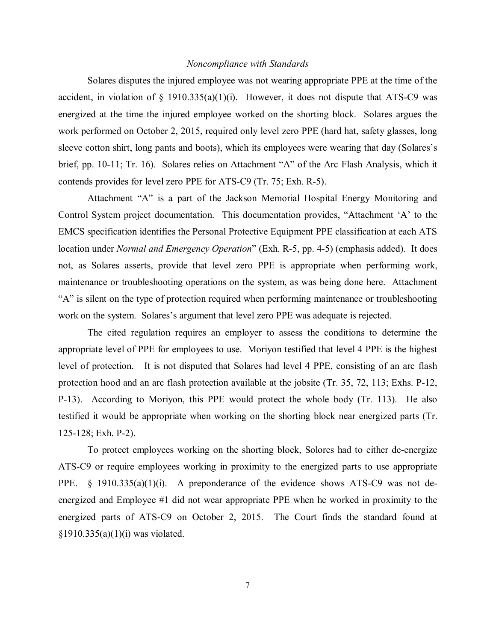### *Noncompliance with Standards*

Solares disputes the injured employee was not wearing appropriate PPE at the time of the accident, in violation of  $\S$  1910.335(a)(1)(i). However, it does not dispute that ATS-C9 was energized at the time the injured employee worked on the shorting block. Solares argues the work performed on October 2, 2015, required only level zero PPE (hard hat, safety glasses, long sleeve cotton shirt, long pants and boots), which its employees were wearing that day (Solares's brief, pp. 10-11; Tr. 16). Solares relies on Attachment "A" of the Arc Flash Analysis, which it contends provides for level zero PPE for ATS-C9 (Tr. 75; Exh. R-5).

Attachment "A" is a part of the Jackson Memorial Hospital Energy Monitoring and Control System project documentation. This documentation provides, "Attachment 'A' to the EMCS specification identifies the Personal Protective Equipment PPE classification at each ATS location under *Normal and Emergency Operation*" (Exh. R-5, pp. 4-5) (emphasis added). It does not, as Solares asserts, provide that level zero PPE is appropriate when performing work, maintenance or troubleshooting operations on the system, as was being done here. Attachment "A" is silent on the type of protection required when performing maintenance or troubleshooting work on the system. Solares's argument that level zero PPE was adequate is rejected.

The cited regulation requires an employer to assess the conditions to determine the appropriate level of PPE for employees to use. Moriyon testified that level 4 PPE is the highest level of protection. It is not disputed that Solares had level 4 PPE, consisting of an arc flash protection hood and an arc flash protection available at the jobsite (Tr. 35, 72, 113; Exhs. P-12, P-13). According to Moriyon, this PPE would protect the whole body (Tr. 113). He also testified it would be appropriate when working on the shorting block near energized parts (Tr. 125-128; Exh. P-2).

To protect employees working on the shorting block, Solores had to either de-energize ATS-C9 or require employees working in proximity to the energized parts to use appropriate PPE. § 1910.335(a)(1)(i). A preponderance of the evidence shows ATS-C9 was not deenergized and Employee #1 did not wear appropriate PPE when he worked in proximity to the energized parts of ATS-C9 on October 2, 2015. The Court finds the standard found at §1910.335(a)(1)(i) was violated.

7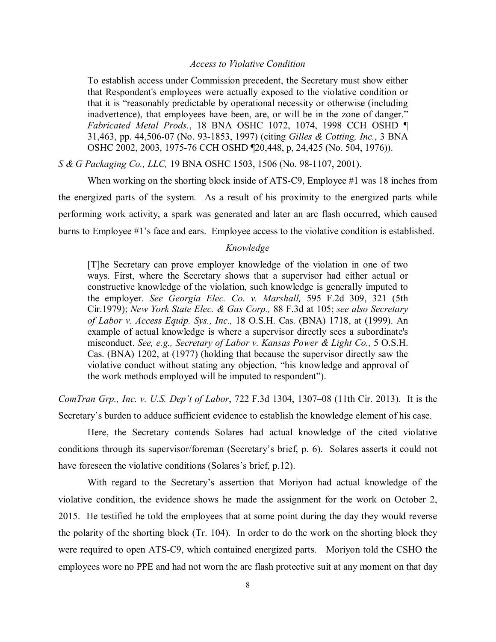### *Access to Violative Condition*

To establish access under Commission precedent, the Secretary must show either that Respondent's employees were actually exposed to the violative condition or that it is "reasonably predictable by operational necessity or otherwise (including inadvertence), that employees have been, are, or will be in the zone of danger." *Fabricated Metal Prods.*, 18 BNA OSHC 1072, 1074, 1998 CCH OSHD ¶ 31,463, pp. 44,506-07 (No. 93-1853, 1997) (citing *Gilles & Cotting, Inc.*, 3 BNA OSHC 2002, 2003, 1975-76 CCH OSHD ¶20,448, p, 24,425 (No. 504, 1976)).

*S & G Packaging Co., LLC,* 19 BNA OSHC 1503, 1506 (No. 98-1107, 2001).

When working on the shorting block inside of ATS-C9, Employee #1 was 18 inches from the energized parts of the system. As a result of his proximity to the energized parts while performing work activity, a spark was generated and later an arc flash occurred, which caused burns to Employee #1's face and ears. Employee access to the violative condition is established.

#### *Knowledge*

[T]he Secretary can prove employer knowledge of the violation in one of two ways. First, where the Secretary shows that a supervisor had either actual or constructive knowledge of the violation, such knowledge is generally imputed to the employer. *See Georgia Elec. Co. v. Marshall,* 595 F.2d 309, 321 (5th Cir.1979); *New York State Elec. & Gas Corp.,* 88 F.3d at 105; *see also Secretary of Labor v. Access Equip. Sys., Inc.,* 18 O.S.H. Cas. (BNA) 1718, at (1999). An example of actual knowledge is where a supervisor directly sees a subordinate's misconduct. *See, e.g., Secretary of Labor v. Kansas Power & Light Co.,* 5 O.S.H. Cas. (BNA) 1202, at (1977) (holding that because the supervisor directly saw the violative conduct without stating any objection, "his knowledge and approval of the work methods employed will be imputed to respondent").

*ComTran Grp., Inc. v. U.S. Dep't of Labor*, 722 F.3d 1304, 1307–08 (11th Cir. 2013). It is the Secretary's burden to adduce sufficient evidence to establish the knowledge element of his case.

Here, the Secretary contends Solares had actual knowledge of the cited violative conditions through its supervisor/foreman (Secretary's brief, p. 6). Solares asserts it could not have foreseen the violative conditions (Solares's brief, p.12).

With regard to the Secretary's assertion that Moriyon had actual knowledge of the violative condition, the evidence shows he made the assignment for the work on October 2, 2015. He testified he told the employees that at some point during the day they would reverse the polarity of the shorting block (Tr. 104). In order to do the work on the shorting block they were required to open ATS-C9, which contained energized parts. Moriyon told the CSHO the employees wore no PPE and had not worn the arc flash protective suit at any moment on that day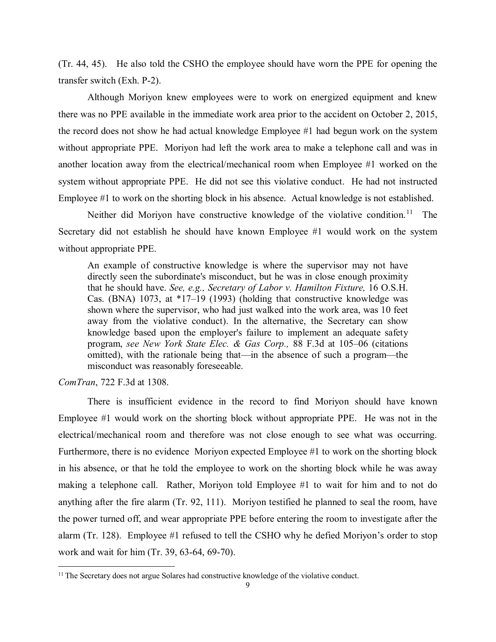(Tr. 44, 45). He also told the CSHO the employee should have worn the PPE for opening the transfer switch (Exh. P-2).

Although Moriyon knew employees were to work on energized equipment and knew there was no PPE available in the immediate work area prior to the accident on October 2, 2015, the record does not show he had actual knowledge Employee #1 had begun work on the system without appropriate PPE. Moriyon had left the work area to make a telephone call and was in another location away from the electrical/mechanical room when Employee #1 worked on the system without appropriate PPE. He did not see this violative conduct. He had not instructed Employee #1 to work on the shorting block in his absence. Actual knowledge is not established.

Neither did Moriyon have constructive knowledge of the violative condition.<sup>[11](#page-8-0)</sup> The Secretary did not establish he should have known Employee #1 would work on the system without appropriate PPE.

An example of constructive knowledge is where the supervisor may not have directly seen the subordinate's misconduct, but he was in close enough proximity that he should have. *See, e.g., Secretary of Labor v. Hamilton Fixture,* 16 O.S.H. Cas. (BNA) 1073, at \*17–19 (1993) (holding that constructive knowledge was shown where the supervisor, who had just walked into the work area, was 10 feet away from the violative conduct). In the alternative, the Secretary can show knowledge based upon the employer's failure to implement an adequate safety program, *see New York State Elec. & Gas Corp.,* 88 F.3d at 105–06 (citations omitted), with the rationale being that—in the absence of such a program—the misconduct was reasonably foreseeable.

*ComTran*, 722 F.3d at 1308.

 $\overline{a}$ 

There is insufficient evidence in the record to find Moriyon should have known Employee #1 would work on the shorting block without appropriate PPE. He was not in the electrical/mechanical room and therefore was not close enough to see what was occurring. Furthermore, there is no evidence Moriyon expected Employee #1 to work on the shorting block in his absence, or that he told the employee to work on the shorting block while he was away making a telephone call. Rather, Moriyon told Employee #1 to wait for him and to not do anything after the fire alarm (Tr. 92, 111). Moriyon testified he planned to seal the room, have the power turned off, and wear appropriate PPE before entering the room to investigate after the alarm (Tr. 128). Employee #1 refused to tell the CSHO why he defied Moriyon's order to stop work and wait for him (Tr. 39, 63-64, 69-70).

<span id="page-8-0"></span><sup>&</sup>lt;sup>11</sup> The Secretary does not argue Solares had constructive knowledge of the violative conduct.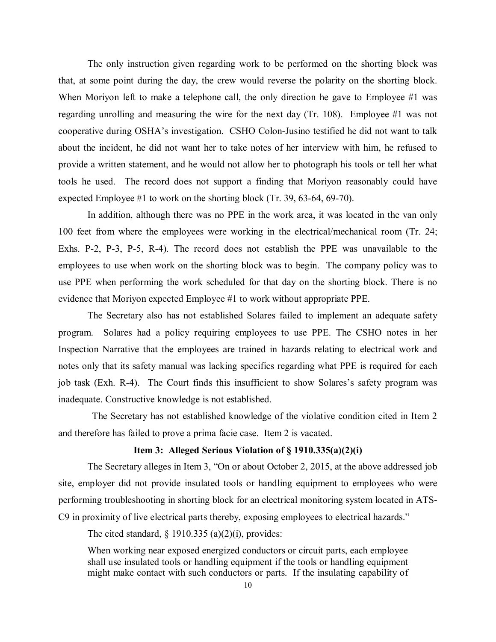The only instruction given regarding work to be performed on the shorting block was that, at some point during the day, the crew would reverse the polarity on the shorting block. When Moriyon left to make a telephone call, the only direction he gave to Employee #1 was regarding unrolling and measuring the wire for the next day (Tr. 108). Employee #1 was not cooperative during OSHA's investigation. CSHO Colon-Jusino testified he did not want to talk about the incident, he did not want her to take notes of her interview with him, he refused to provide a written statement, and he would not allow her to photograph his tools or tell her what tools he used. The record does not support a finding that Moriyon reasonably could have expected Employee #1 to work on the shorting block (Tr. 39, 63-64, 69-70).

In addition, although there was no PPE in the work area, it was located in the van only 100 feet from where the employees were working in the electrical/mechanical room (Tr. 24; Exhs. P-2, P-3, P-5, R-4). The record does not establish the PPE was unavailable to the employees to use when work on the shorting block was to begin. The company policy was to use PPE when performing the work scheduled for that day on the shorting block. There is no evidence that Moriyon expected Employee #1 to work without appropriate PPE.

The Secretary also has not established Solares failed to implement an adequate safety program. Solares had a policy requiring employees to use PPE. The CSHO notes in her Inspection Narrative that the employees are trained in hazards relating to electrical work and notes only that its safety manual was lacking specifics regarding what PPE is required for each job task (Exh. R-4). The Court finds this insufficient to show Solares's safety program was inadequate. Constructive knowledge is not established.

 The Secretary has not established knowledge of the violative condition cited in Item 2 and therefore has failed to prove a prima facie case. Item 2 is vacated.

## **Item 3: Alleged Serious Violation of § 1910.335(a)(2)(i)**

The Secretary alleges in Item 3, "On or about October 2, 2015, at the above addressed job site, employer did not provide insulated tools or handling equipment to employees who were performing troubleshooting in shorting block for an electrical monitoring system located in ATS-C9 in proximity of live electrical parts thereby, exposing employees to electrical hazards."

The cited standard,  $\S$  1910.335 (a)(2)(i), provides:

When working near exposed energized conductors or circuit parts, each employee shall use insulated tools or handling equipment if the tools or handling equipment might make contact with such conductors or parts. If the insulating capability of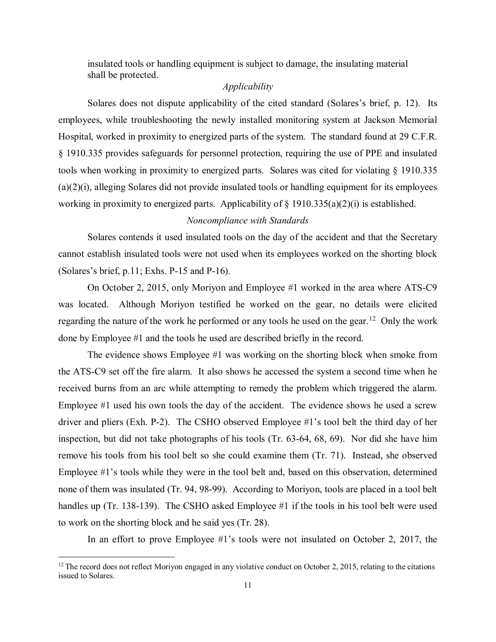insulated tools or handling equipment is subject to damage, the insulating material shall be protected.

# *Applicability*

Solares does not dispute applicability of the cited standard (Solares's brief, p. 12). Its employees, while troubleshooting the newly installed monitoring system at Jackson Memorial Hospital, worked in proximity to energized parts of the system. The standard found at 29 C.F.R. § 1910.335 provides safeguards for personnel protection, requiring the use of PPE and insulated tools when working in proximity to energized parts. Solares was cited for violating § 1910.335 (a)(2)(i), alleging Solares did not provide insulated tools or handling equipment for its employees working in proximity to energized parts. Applicability of  $\S$  1910.335(a)(2)(i) is established.

### *Noncompliance with Standards*

Solares contends it used insulated tools on the day of the accident and that the Secretary cannot establish insulated tools were not used when its employees worked on the shorting block (Solares's brief, p.11; Exhs. P-15 and P-16).

On October 2, 2015, only Moriyon and Employee #1 worked in the area where ATS-C9 was located. Although Moriyon testified he worked on the gear, no details were elicited regarding the nature of the work he performed or any tools he used on the gear.<sup>[12](#page-10-0)</sup> Only the work done by Employee #1 and the tools he used are described briefly in the record.

The evidence shows Employee #1 was working on the shorting block when smoke from the ATS-C9 set off the fire alarm. It also shows he accessed the system a second time when he received burns from an arc while attempting to remedy the problem which triggered the alarm. Employee #1 used his own tools the day of the accident. The evidence shows he used a screw driver and pliers (Exh. P-2). The CSHO observed Employee #1's tool belt the third day of her inspection, but did not take photographs of his tools (Tr. 63-64, 68, 69). Nor did she have him remove his tools from his tool belt so she could examine them (Tr. 71). Instead, she observed Employee #1's tools while they were in the tool belt and, based on this observation, determined none of them was insulated (Tr. 94, 98-99). According to Moriyon, tools are placed in a tool belt handles up (Tr. 138-139). The CSHO asked Employee #1 if the tools in his tool belt were used to work on the shorting block and he said yes (Tr. 28).

In an effort to prove Employee #1's tools were not insulated on October 2, 2017, the

 $\overline{a}$ 

<span id="page-10-0"></span> $12$  The record does not reflect Moriyon engaged in any violative conduct on October 2, 2015, relating to the citations issued to Solares.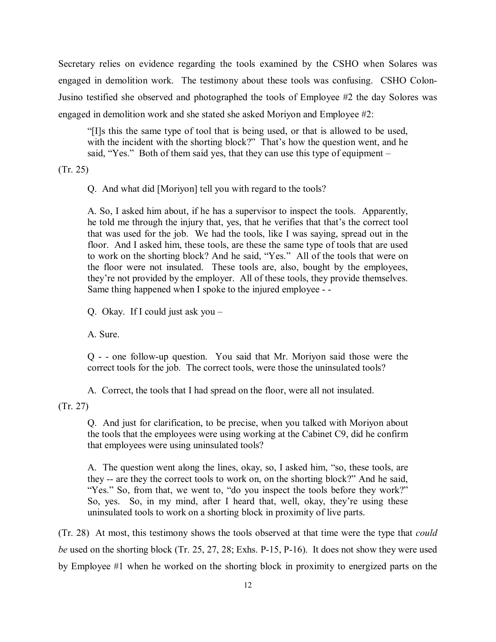Secretary relies on evidence regarding the tools examined by the CSHO when Solares was engaged in demolition work. The testimony about these tools was confusing. CSHO Colon-Jusino testified she observed and photographed the tools of Employee #2 the day Solores was engaged in demolition work and she stated she asked Moriyon and Employee #2:

"[I]s this the same type of tool that is being used, or that is allowed to be used, with the incident with the shorting block?" That's how the question went, and he said, "Yes." Both of them said yes, that they can use this type of equipment –

(Tr. 25)

Q. And what did [Moriyon] tell you with regard to the tools?

A. So, I asked him about, if he has a supervisor to inspect the tools. Apparently, he told me through the injury that, yes, that he verifies that that's the correct tool that was used for the job. We had the tools, like I was saying, spread out in the floor. And I asked him, these tools, are these the same type of tools that are used to work on the shorting block? And he said, "Yes." All of the tools that were on the floor were not insulated. These tools are, also, bought by the employees, they're not provided by the employer. All of these tools, they provide themselves. Same thing happened when I spoke to the injured employee - -

Q. Okay. If I could just ask you –

A. Sure.

Q - - one follow-up question. You said that Mr. Moriyon said those were the correct tools for the job. The correct tools, were those the uninsulated tools?

A. Correct, the tools that I had spread on the floor, were all not insulated.

(Tr. 27)

Q. And just for clarification, to be precise, when you talked with Moriyon about the tools that the employees were using working at the Cabinet C9, did he confirm that employees were using uninsulated tools?

A. The question went along the lines, okay, so, I asked him, "so, these tools, are they -- are they the correct tools to work on, on the shorting block?" And he said, "Yes." So, from that, we went to, "do you inspect the tools before they work?" So, yes. So, in my mind, after I heard that, well, okay, they're using these uninsulated tools to work on a shorting block in proximity of live parts.

(Tr. 28) At most, this testimony shows the tools observed at that time were the type that *could be* used on the shorting block (Tr. 25, 27, 28; Exhs. P-15, P-16). It does not show they were used by Employee #1 when he worked on the shorting block in proximity to energized parts on the